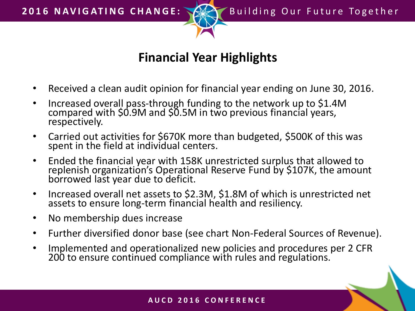

## **Financial Year Highlights**

- Received a clean audit opinion for financial year ending on June 30, 2016.
- Increased overall pass-through funding to the network up to \$1.4M compared with \$0.9M and \$0.5M in two previous financial years, respectively.
- Carried out activities for \$670K more than budgeted, \$500K of this was spent in the field at individual centers.
- Ended the financial year with 158K unrestricted surplus that allowed to replenish organization's Operational Reserve Fund by \$107K, the amount borrowed last year due to deficit.
- Increased overall net assets to \$2.3M, \$1.8M of which is unrestricted net assets to ensure long-term financial health and resiliency.
- No membership dues increase
- Further diversified donor base (see chart Non-Federal Sources of Revenue).
- Implemented and operationalized new policies and procedures per 2 CFR 200 to ensure continued compliance with rules and regulations.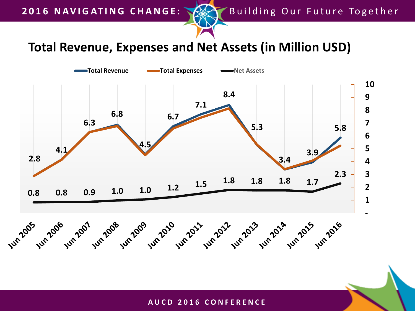## **Total Revenue, Expenses and Net Assets (in Million USD)**



## **A U C D 2 0 1 6 C O N F E R E N C E**